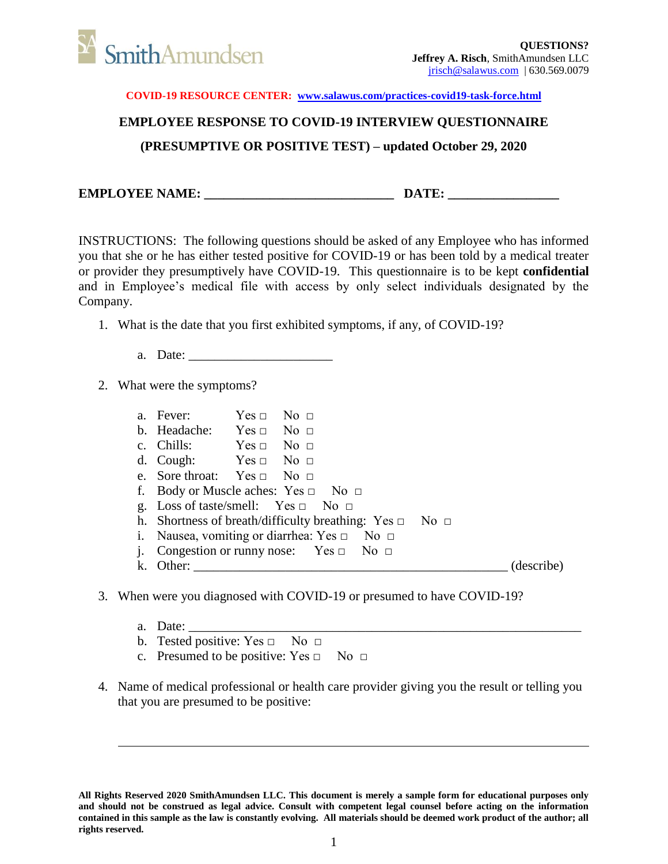

## **EMPLOYEE RESPONSE TO COVID-19 INTERVIEW QUESTIONNAIRE (PRESUMPTIVE OR POSITIVE TEST) – updated October 29, 2020**

**EMPLOYEE NAME: \_\_\_\_\_\_\_\_\_\_\_\_\_\_\_\_\_\_\_\_\_\_\_\_\_\_\_\_\_ DATE: \_\_\_\_\_\_\_\_\_\_\_\_\_\_\_\_\_**

INSTRUCTIONS: The following questions should be asked of any Employee who has informed you that she or he has either tested positive for COVID-19 or has been told by a medical treater or provider they presumptively have COVID-19. This questionnaire is to be kept **confidential**  and in Employee's medical file with access by only select individuals designated by the Company.

- 1. What is the date that you first exhibited symptoms, if any, of COVID-19?
	- a. Date: \_\_\_\_\_\_\_\_\_\_\_\_\_\_\_\_\_\_\_\_\_\_

2. What were the symptoms?

|    | a. Fever:                                             | $Yes \Box$ No $\Box$ |                                                                   |            |
|----|-------------------------------------------------------|----------------------|-------------------------------------------------------------------|------------|
|    | b. Headache: $Yes \Box No \Box$                       |                      |                                                                   |            |
|    | c. Chills: $Yes \Box No \Box$                         |                      |                                                                   |            |
|    | d. Cough: $Yes \Box No \Box$                          |                      |                                                                   |            |
|    | e. Sore throat: Yes $\Box$ No $\Box$                  |                      |                                                                   |            |
|    |                                                       |                      | f. Body or Muscle aches: $Yes \Box No \Box$                       |            |
|    |                                                       |                      | g. Loss of taste/smell: Yes $\Box$ No $\Box$                      |            |
|    |                                                       |                      | h. Shortness of breath/difficulty breathing: Yes $\Box$ No $\Box$ |            |
|    | i. Nausea, vomiting or diarrhea: $Yes \Box$ No $\Box$ |                      |                                                                   |            |
| 1. |                                                       |                      | Congestion or runny nose: Yes $\Box$ No $\Box$                    |            |
|    | k. Other:                                             |                      |                                                                   | (describe) |

- 3. When were you diagnosed with COVID-19 or presumed to have COVID-19?
	- a. Date: \_\_\_\_\_\_\_\_\_\_\_\_\_\_\_\_\_\_\_\_\_\_\_\_\_\_\_\_\_\_\_\_\_\_\_\_\_\_\_\_\_\_\_\_\_\_\_\_\_\_\_\_\_\_\_\_\_\_\_\_
	- b. Tested positive:  $Yes \Box$  No  $\Box$
	- c. Presumed to be positive:  $Yes \Box$  No  $\Box$
- 4. Name of medical professional or health care provider giving you the result or telling you that you are presumed to be positive:

**All Rights Reserved 2020 SmithAmundsen LLC. This document is merely a sample form for educational purposes only and should not be construed as legal advice. Consult with competent legal counsel before acting on the information contained in this sample as the law is constantly evolving. All materials should be deemed work product of the author; all rights reserved.**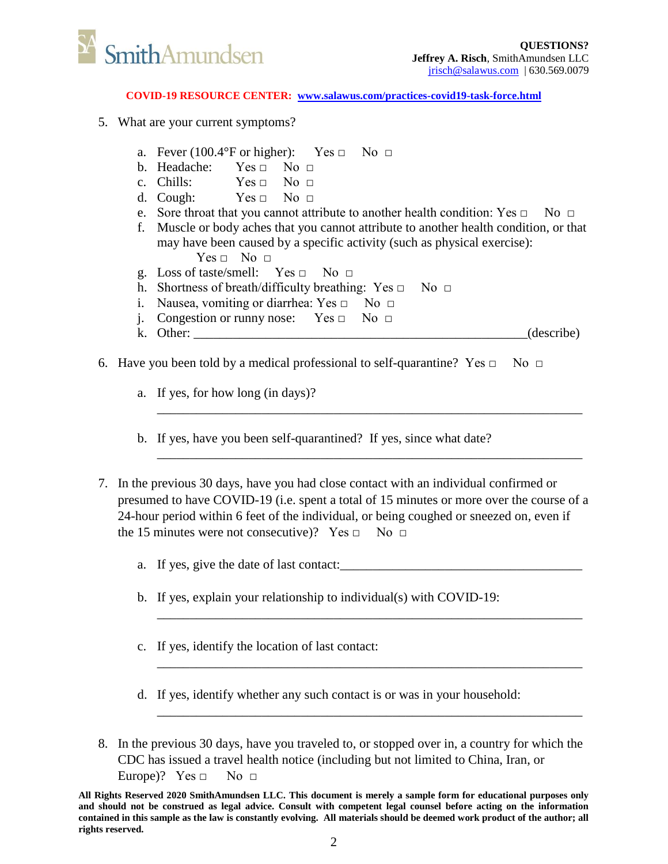

- 5. What are your current symptoms?
	- a. Fever (100.4°F or higher): Yes  $\Box$  No  $\Box$
	- b. Headache:  $Yes \sqcap No \sqcap$
	- c. Chills:  $Yes \Box No \Box$
	- d. Cough:  $Yes \Box No \Box$
	- e. Sore throat that you cannot attribute to another health condition: Yes  $\Box$  No  $\Box$
	- f. Muscle or body aches that you cannot attribute to another health condition, or that may have been caused by a specific activity (such as physical exercise):
		- $Yes \Box No \Box$
	- g. Loss of taste/smell:  $Yes \Box No \Box$
	- h. Shortness of breath/difficulty breathing: Yes  $\Box$  No  $\Box$
	- i. Nausea, vomiting or diarrhea: Yes  $\Box$  No  $\Box$
	- j. Congestion or runny nose: Yes □ No □
	- k. Other:  $\qquad \qquad$  (describe)

\_\_\_\_\_\_\_\_\_\_\_\_\_\_\_\_\_\_\_\_\_\_\_\_\_\_\_\_\_\_\_\_\_\_\_\_\_\_\_\_\_\_\_\_\_\_\_\_\_\_\_\_\_\_\_\_\_\_\_\_\_\_\_\_\_

\_\_\_\_\_\_\_\_\_\_\_\_\_\_\_\_\_\_\_\_\_\_\_\_\_\_\_\_\_\_\_\_\_\_\_\_\_\_\_\_\_\_\_\_\_\_\_\_\_\_\_\_\_\_\_\_\_\_\_\_\_\_\_\_\_

- 6. Have you been told by a medical professional to self-quarantine? Yes  $\Box$  No  $\Box$ 
	- a. If yes, for how long (in days)?
	- b. If yes, have you been self-quarantined? If yes, since what date?
- 7. In the previous 30 days, have you had close contact with an individual confirmed or presumed to have COVID-19 (i.e. spent a total of 15 minutes or more over the course of a 24-hour period within 6 feet of the individual, or being coughed or sneezed on, even if the 15 minutes were not consecutive)? Yes  $\Box$  No  $\Box$ 
	- a. If yes, give the date of last contact:

\_\_\_\_\_\_\_\_\_\_\_\_\_\_\_\_\_\_\_\_\_\_\_\_\_\_\_\_\_\_\_\_\_\_\_\_\_\_\_\_\_\_\_\_\_\_\_\_\_\_\_\_\_\_\_\_\_\_\_\_\_\_\_\_\_

\_\_\_\_\_\_\_\_\_\_\_\_\_\_\_\_\_\_\_\_\_\_\_\_\_\_\_\_\_\_\_\_\_\_\_\_\_\_\_\_\_\_\_\_\_\_\_\_\_\_\_\_\_\_\_\_\_\_\_\_\_\_\_\_\_

\_\_\_\_\_\_\_\_\_\_\_\_\_\_\_\_\_\_\_\_\_\_\_\_\_\_\_\_\_\_\_\_\_\_\_\_\_\_\_\_\_\_\_\_\_\_\_\_\_\_\_\_\_\_\_\_\_\_\_\_\_\_\_\_\_

- b. If yes, explain your relationship to individual(s) with COVID-19:
- c. If yes, identify the location of last contact:
- d. If yes, identify whether any such contact is or was in your household:
- 8. In the previous 30 days, have you traveled to, or stopped over in, a country for which the CDC has issued a travel health notice (including but not limited to China, Iran, or Europe)? Yes  $\Box$  No  $\Box$

**All Rights Reserved 2020 SmithAmundsen LLC. This document is merely a sample form for educational purposes only and should not be construed as legal advice. Consult with competent legal counsel before acting on the information contained in this sample as the law is constantly evolving. All materials should be deemed work product of the author; all rights reserved.**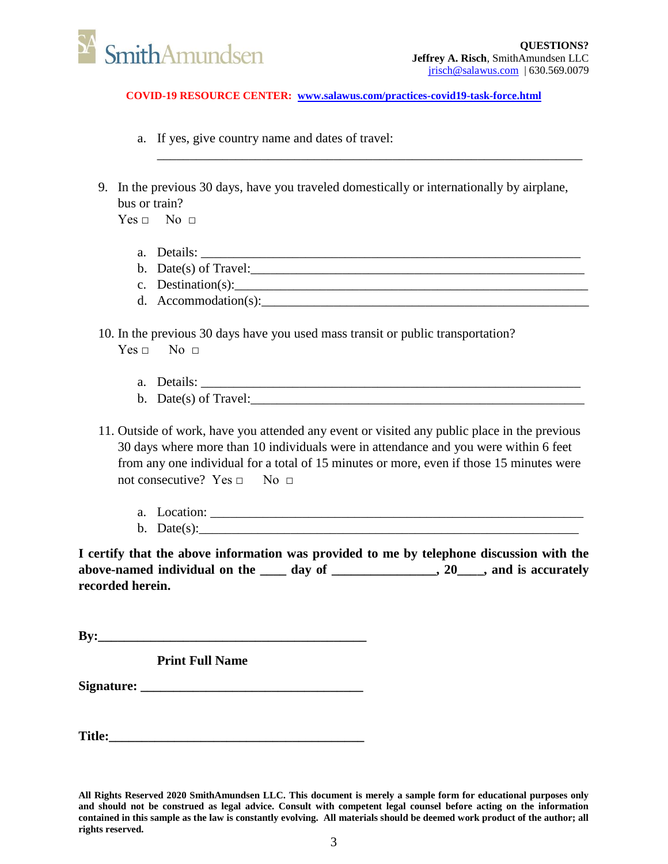

- a. If yes, give country name and dates of travel:
- 9. In the previous 30 days, have you traveled domestically or internationally by airplane, bus or train?

\_\_\_\_\_\_\_\_\_\_\_\_\_\_\_\_\_\_\_\_\_\_\_\_\_\_\_\_\_\_\_\_\_\_\_\_\_\_\_\_\_\_\_\_\_\_\_\_\_\_\_\_\_\_\_\_\_\_\_\_\_\_\_\_\_

 $Yes \Box$  No  $\Box$ 

- a. Details: \_\_\_\_\_\_\_\_\_\_\_\_\_\_\_\_\_\_\_\_\_\_\_\_\_\_\_\_\_\_\_\_\_\_\_\_\_\_\_\_\_\_\_\_\_\_\_\_\_\_\_\_\_\_\_\_\_\_
- b. Date(s) of Travel: $\frac{1}{2}$  or  $\frac{1}{2}$  and  $\frac{1}{2}$  and  $\frac{1}{2}$  and  $\frac{1}{2}$  and  $\frac{1}{2}$  and  $\frac{1}{2}$  and  $\frac{1}{2}$  and  $\frac{1}{2}$  and  $\frac{1}{2}$  and  $\frac{1}{2}$  and  $\frac{1}{2}$  and  $\frac{1}{2}$  and  $\frac{1}{2}$  and  $\frac{1$
- c. Destination(s):\_\_\_\_\_\_\_\_\_\_\_\_\_\_\_\_\_\_\_\_\_\_\_\_\_\_\_\_\_\_\_\_\_\_\_\_\_\_\_\_\_\_\_\_\_\_\_\_\_\_\_\_\_\_
- d. Accommodation(s): $\Box$

10. In the previous 30 days have you used mass transit or public transportation?

 $Yes \sqcap$  No  $\sqcap$ 

- a. Details: \_\_\_\_\_\_\_\_\_\_\_\_\_\_\_\_\_\_\_\_\_\_\_\_\_\_\_\_\_\_\_\_\_\_\_\_\_\_\_\_\_\_\_\_\_\_\_\_\_\_\_\_\_\_\_\_\_\_
- b. Date(s) of Travel:
- 11. Outside of work, have you attended any event or visited any public place in the previous 30 days where more than 10 individuals were in attendance and you were within 6 feet from any one individual for a total of 15 minutes or more, even if those 15 minutes were not consecutive? Yes  $\Box$  No  $\Box$ 
	- a. Location: \_\_\_\_\_\_\_\_\_\_\_\_\_\_\_\_\_\_\_\_\_\_\_\_\_\_\_\_\_\_\_\_\_\_\_\_\_\_\_\_\_\_\_\_\_\_\_\_\_\_\_\_\_\_\_\_\_ b. Date $(s)$ :

**I certify that the above information was provided to me by telephone discussion with the**  above-named individual on the <u>equal day of equal contracts</u>, 20 and is accurately **recorded herein.**

**By:\_\_\_\_\_\_\_\_\_\_\_\_\_\_\_\_\_\_\_\_\_\_\_\_\_\_\_\_\_\_\_\_\_\_\_\_\_\_\_\_\_**

**Print Full Name**

Signature:

**Title:\_\_\_\_\_\_\_\_\_\_\_\_\_\_\_\_\_\_\_\_\_\_\_\_\_\_\_\_\_\_\_\_\_\_\_\_\_\_\_**

**All Rights Reserved 2020 SmithAmundsen LLC. This document is merely a sample form for educational purposes only and should not be construed as legal advice. Consult with competent legal counsel before acting on the information contained in this sample as the law is constantly evolving. All materials should be deemed work product of the author; all rights reserved.**